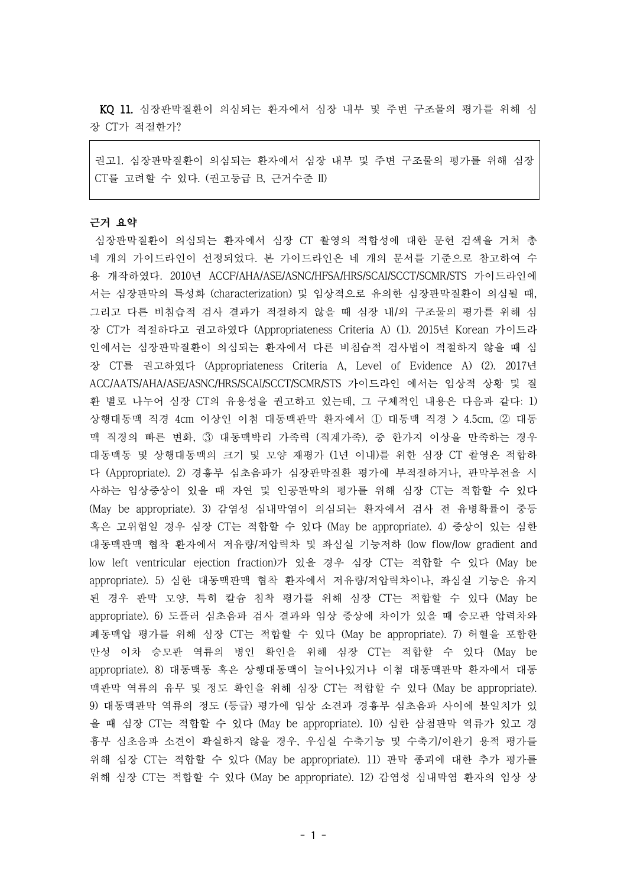KQ 11. 심장판막질환이 의심되는 환자에서 심장 내부 및 주변 구조물의 평가를 위해 심 장 CT가 적절한가?

권고1. 심장판막질환이 의심되는 환자에서 심장 내부 및 주변 구조물의 평가를 위해 심장 CT를 고려할 수 있다. (권고등급 B, 근거수준 II)

## 근거 요약

심장판막질환이 의심되는 환자에서 심장 CT 촬영의 적합성에 대한 문헌 검색을 거쳐 총 네 개의 가이드라인이 선정되었다. 본 가이드라인은 네 개의 문서를 기준으로 참고하여 수 용 개작하였다. 2010년 ACCF/AHA/ASE/ASNC/HFSA/HRS/SCAI/SCCT/SCMR/STS 가이드라인에 서는 심장판막의 특성화 (characterization) 및 임상적으로 유의한 심장판막질환이 의심될 때, 그리고 다른 비침습적 검사 결과가 적절하지 않을 때 심장 내/외 구조물의 평가를 위해 심 장 CT가 적절하다고 권고하였다 (Appropriateness Criteria A) (1). 2015년 Korean 가이드라 인에서는 심장판막질환이 의심되는 환자에서 다른 비침습적 검사법이 적절하지 않을 때 심 장 CT를 권고하였다 (Appropriateness Criteria A, Level of Evidence A) (2). 2017년 ACC/AATS/AHA/ASE/ASNC/HRS/SCAI/SCCT/SCMR/STS 가이드라인 에서는 임상적 상황 및 질 환 별로 나누어 심장 CT의 유용성을 권고하고 있는데, 그 구체적인 내용은 다음과 같다: 1) 상행대동맥 직경 4cm 이상인 이첨 대동맥판막 환자에서 ① 대동맥 직경 > 4.5cm, ② 대동 맥 직경의 빠른 변화, ③ 대동맥박리 가족력 (직계가족), 중 한가지 이상을 만족하는 경우 대동맥동 및 상행대동맥의 크기 및 모양 재평가 (1년 이내)를 위한 심장 CT 촬영은 적합하 다 (Appropriate). 2) 경흉부 심초음파가 심장판막질환 평가에 부적절하거나, 판막부전을 시 사하는 임상증상이 있을 때 자연 및 인공판막의 평가를 위해 심장 CT는 적합할 수 있다 (May be appropriate). 3) 감염성 심내막염이 의심되는 환자에서 검사 전 유병확률이 중등 혹은 고위험일 경우 심장 CT는 적합할 수 있다 (May be appropriate). 4) 증상이 있는 심한 대동맥판맥 협착 환자에서 저유량/저압력차 및 좌심실 기능저하 (low flow/low gradient and low left ventricular ejection fraction)가 있을 경우 심장 CT는 적합할 수 있다 (May be appropriate). 5) 심한 대동맥판맥 협착 환자에서 저유량/저압력차이나, 좌심실 기능은 유지 된 경우 판막 모양, 특히 칼슘 침착 평가를 위해 심장 CT는 적합할 수 있다 (May be appropriate). 6) 도플러 심초음파 검사 결과와 임상 증상에 차이가 있을 때 승모판 압력차와 폐동맥압 평가를 위해 심장 CT는 적합할 수 있다 (May be appropriate). 7) 허혈을 포함한 만성 이차 승모판 역류의 병인 확인을 위해 심장 CT는 적합할 수 있다 (May be appropriate). 8) 대동맥동 혹은 상행대동맥이 늘어나있거나 이첨 대동맥판막 환자에서 대동 맥판막 역류의 유무 및 정도 확인을 위해 심장 CT는 적합할 수 있다 (May be appropriate). 9) 대동맥판막 역류의 정도 (등급) 평가에 임상 소견과 경흉부 심초음파 사이에 불일치가 있 을 때 심장 CT는 적합할 수 있다 (May be appropriate). 10) 심한 삼첨판막 역류가 있고 경 흉부 심초음파 소견이 확실하지 않을 경우, 우심실 수축기능 및 수축기/이완기 용적 평가를 위해 심장 CT는 적합할 수 있다 (May be appropriate). 11) 판막 종괴에 대한 추가 평가를 위해 심장 CT는 적합할 수 있다 (May be appropriate). 12) 감염성 심내막염 환자의 임상 상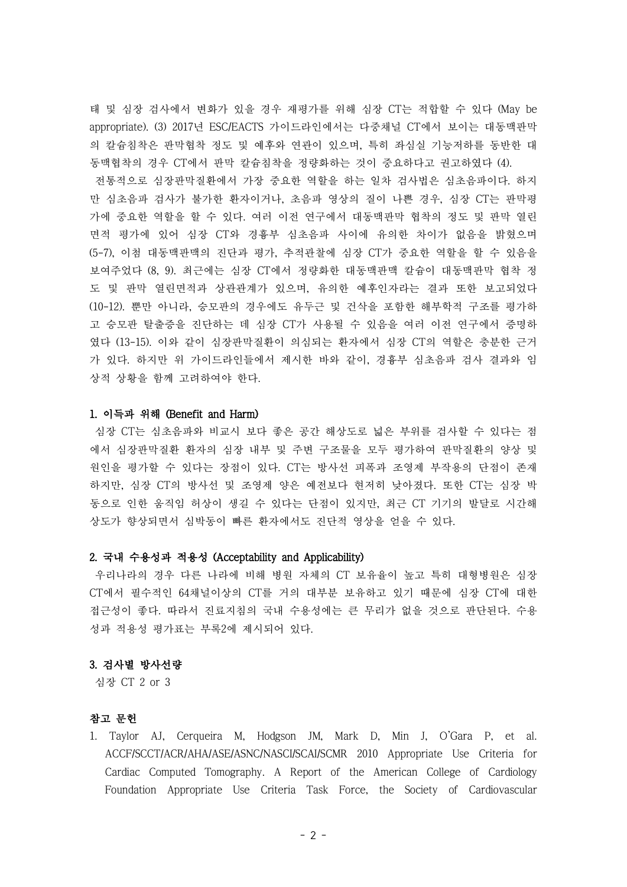태 및 심장 검사에서 변화가 있을 경우 재평가를 위해 심장 CT는 적합할 수 있다 (May be appropriate). (3) 2017년 ESC/EACTS 가이드라인에서는 다중채널 CT에서 보이는 대동맥판막 의 칼슘침착은 판막협착 정도 및 예후와 연관이 있으며, 특히 좌심실 기능저하를 동반한 대 동맥협착의 경우 CT에서 판막 칼슘침착을 정량화하는 것이 중요하다고 권고하였다 (4). 전통적으로 심장판막질환에서 가장 중요한 역할을 하는 일차 검사법은 심초음파이다. 하지 만 심초음파 검사가 불가한 환자이거나, 초음파 영상의 질이 나쁜 경우, 심장 CT는 판막평 가에 중요한 역할을 할 수 있다. 여러 이전 연구에서 대동맥판막 협착의 정도 및 판막 열린 면적 평가에 있어 심장 CT와 경흉부 심초음파 사이에 유의한 차이가 없음을 밝혔으며 (5-7), 이첨 대동맥판맥의 진단과 평가, 추적관찰에 심장 CT가 중요한 역할을 할 수 있음을 보여주었다 (8, 9). 최근에는 심장 CT에서 정량화한 대동맥판맥 칼슘이 대동맥판막 협착 정 도 및 판막 열린면적과 상관관계가 있으며, 유의한 예후인자라는 결과 또한 보고되었다 (10-12). 뿐만 아니라, 승모판의 경우에도 유두근 및 건삭을 포함한 해부학적 구조를 평가하 고 승모판 탈출증을 진단하는 데 심장 CT가 사용될 수 있음을 여러 이전 연구에서 증명하 였다 (13-15). 이와 같이 심장판막질환이 의심되는 환자에서 심장 CT의 역할은 충분한 근거 가 있다. 하지만 위 가이드라인들에서 제시한 바와 같이, 경흉부 심초음파 검사 결과와 임 상적 상황을 함께 고려하여야 한다.

# 1. 이득과 위해 (Benefit and Harm)

심장 CT는 심초음파와 비교시 보다 좋은 공간 해상도로 넓은 부위를 검사할 수 있다는 점 에서 심장판막질환 환자의 심장 내부 및 주변 구조물을 모두 평가하여 판막질환의 양상 및 원인을 평가할 수 있다는 장점이 있다. CT는 방사선 피폭과 조영제 부작용의 단점이 존재 하지만, 심장 CT의 방사선 및 조영제 양은 예전보다 현저히 낮아졌다. 또한 CT는 심장 박 동으로 인한 움직임 허상이 생길 수 있다는 단점이 있지만, 최근 CT 기기의 발달로 시간해 상도가 향상되면서 심박동이 빠른 환자에서도 진단적 영상을 얻을 수 있다.

### 2. 국내 수용성과 적용성 (Acceptability and Applicability)

우리나라의 경우 다른 나라에 비해 병원 자체의 CT 보유율이 높고 특히 대형병원은 심장 CT에서 필수적인 64채널이상의 CT를 거의 대부분 보유하고 있기 때문에 심장 CT에 대한 접근성이 좋다. 따라서 진료지침의 국내 수용성에는 큰 무리가 없을 것으로 판단된다. 수용 성과 적용성 평가표는 부록2에 제시되어 있다.

#### 3. 검사별 방사선량

심장 CT 2 or 3

## 참고 문헌

1. Taylor AJ, Cerqueira M, Hodgson JM, Mark D, Min J, O'Gara P, et al. ACCF/SCCT/ACR/AHA/ASE/ASNC/NASCI/SCAI/SCMR 2010 Appropriate Use Criteria for Cardiac Computed Tomography. A Report of the American College of Cardiology Foundation Appropriate Use Criteria Task Force, the Society of Cardiovascular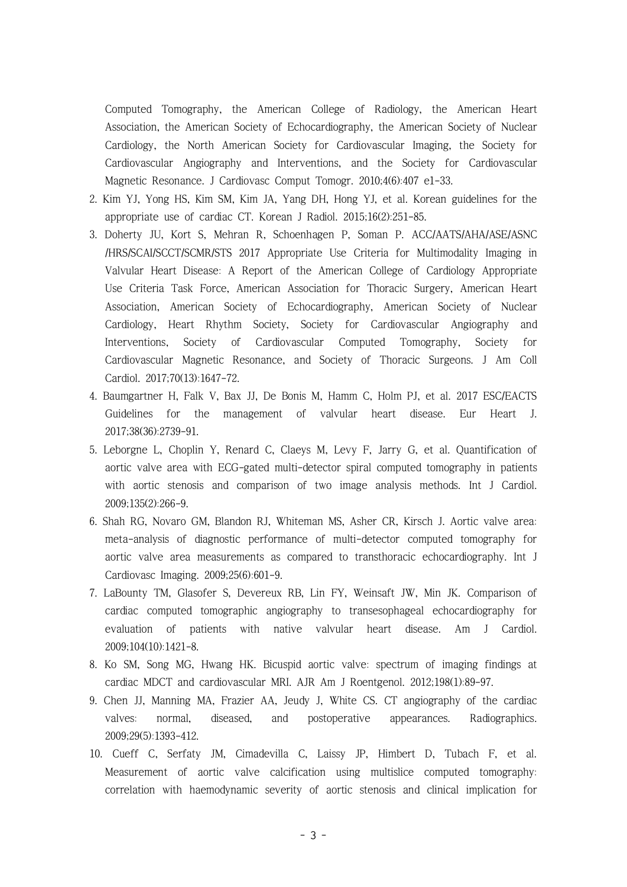Computed Tomography, the American College of Radiology, the American Heart Association, the American Society of Echocardiography, the American Society of Nuclear Cardiology, the North American Society for Cardiovascular Imaging, the Society for Cardiovascular Angiography and Interventions, and the Society for Cardiovascular Magnetic Resonance. J Cardiovasc Comput Tomogr. 2010;4(6):407 e1-33.

- 2. Kim YJ, Yong HS, Kim SM, Kim JA, Yang DH, Hong YJ, et al. Korean guidelines for the appropriate use of cardiac CT. Korean J Radiol. 2015;16(2):251-85.
- 3. Doherty JU, Kort S, Mehran R, Schoenhagen P, Soman P. ACC/AATS/AHA/ASE/ASNC /HRS/SCAI/SCCT/SCMR/STS 2017 Appropriate Use Criteria for Multimodality Imaging in Valvular Heart Disease: A Report of the American College of Cardiology Appropriate Use Criteria Task Force, American Association for Thoracic Surgery, American Heart Association, American Society of Echocardiography, American Society of Nuclear Cardiology, Heart Rhythm Society, Society for Cardiovascular Angiography and Interventions, Society of Cardiovascular Computed Tomography, Society for Cardiovascular Magnetic Resonance, and Society of Thoracic Surgeons. J Am Coll Cardiol. 2017;70(13):1647-72.
- 4. Baumgartner H, Falk V, Bax JJ, De Bonis M, Hamm C, Holm PJ, et al. 2017 ESC/EACTS Guidelines for the management of valvular heart disease. Eur Heart J. 2017;38(36):2739-91.
- 5. Leborgne L, Choplin Y, Renard C, Claeys M, Levy F, Jarry G, et al. Quantification of aortic valve area with ECG-gated multi-detector spiral computed tomography in patients with aortic stenosis and comparison of two image analysis methods. Int J Cardiol. 2009;135(2):266-9.
- 6. Shah RG, Novaro GM, Blandon RJ, Whiteman MS, Asher CR, Kirsch J. Aortic valve area: meta-analysis of diagnostic performance of multi-detector computed tomography for aortic valve area measurements as compared to transthoracic echocardiography. Int J Cardiovasc Imaging. 2009;25(6):601-9.
- 7. LaBounty TM, Glasofer S, Devereux RB, Lin FY, Weinsaft JW, Min JK. Comparison of cardiac computed tomographic angiography to transesophageal echocardiography for evaluation of patients with native valvular heart disease. Am J Cardiol. 2009;104(10):1421-8.
- 8. Ko SM, Song MG, Hwang HK. Bicuspid aortic valve: spectrum of imaging findings at cardiac MDCT and cardiovascular MRI. AJR Am J Roentgenol. 2012;198(1):89-97.
- 9. Chen JJ, Manning MA, Frazier AA, Jeudy J, White CS. CT angiography of the cardiac valves: normal, diseased, and postoperative appearances. Radiographics. 2009;29(5):1393-412.
- 10. Cueff C, Serfaty JM, Cimadevilla C, Laissy JP, Himbert D, Tubach F, et al. Measurement of aortic valve calcification using multislice computed tomography: correlation with haemodynamic severity of aortic stenosis and clinical implication for